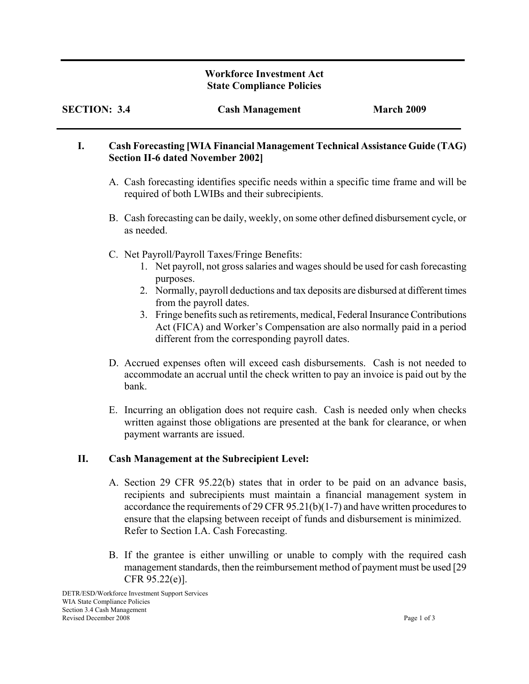#### **Workforce Investment Act State Compliance Policies**

| <b>SECTION: 3.4</b> | <b>Cash Management</b> | <b>March 2009</b> |
|---------------------|------------------------|-------------------|
|                     |                        |                   |

### **I. Cash Forecasting [WIA Financial Management Technical Assistance Guide (TAG) Section II-6 dated November 2002]**

- A. Cash forecasting identifies specific needs within a specific time frame and will be required of both LWIBs and their subrecipients.
- B. Cash forecasting can be daily, weekly, on some other defined disbursement cycle, or as needed.
- C. Net Payroll/Payroll Taxes/Fringe Benefits:

- 1. Net payroll, not gross salaries and wages should be used for cash forecasting purposes.
- 2. Normally, payroll deductions and tax deposits are disbursed at different times from the payroll dates.
- 3. Fringe benefits such as retirements, medical, Federal Insurance Contributions Act (FICA) and Worker's Compensation are also normally paid in a period different from the corresponding payroll dates.
- D. Accrued expenses often will exceed cash disbursements. Cash is not needed to accommodate an accrual until the check written to pay an invoice is paid out by the bank.
- E. Incurring an obligation does not require cash. Cash is needed only when checks written against those obligations are presented at the bank for clearance, or when payment warrants are issued.

# **II. Cash Management at the Subrecipient Level:**

- A. Section 29 CFR 95.22(b) states that in order to be paid on an advance basis, recipients and subrecipients must maintain a financial management system in accordance the requirements of 29 CFR 95.21(b)(1-7) and have written procedures to ensure that the elapsing between receipt of funds and disbursement is minimized. Refer to Section I.A. Cash Forecasting.
- B. If the grantee is either unwilling or unable to comply with the required cash management standards, then the reimbursement method of payment must be used [29 CFR 95.22(e)].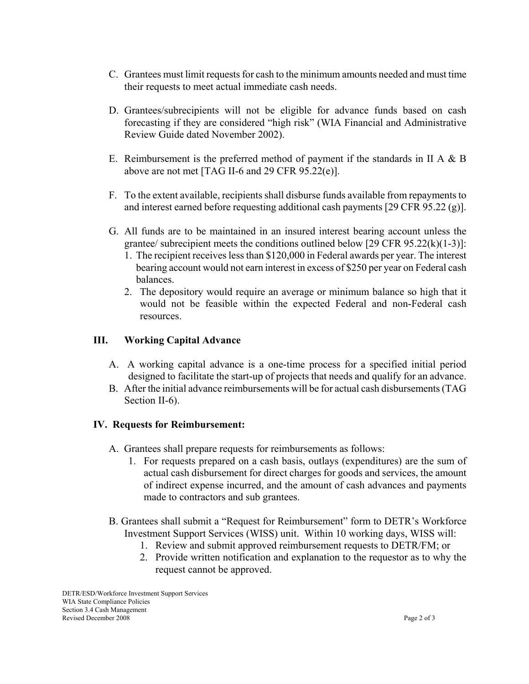- C. Grantees must limit requests for cash to the minimum amounts needed and must time their requests to meet actual immediate cash needs.
- D. Grantees/subrecipients will not be eligible for advance funds based on cash forecasting if they are considered "high risk" (WIA Financial and Administrative Review Guide dated November 2002).
- E. Reimbursement is the preferred method of payment if the standards in II A  $\&$  B above are not met [TAG II-6 and 29 CFR 95.22(e)].
- F. To the extent available, recipients shall disburse funds available from repayments to and interest earned before requesting additional cash payments [29 CFR 95.22 (g)].
- G. All funds are to be maintained in an insured interest bearing account unless the grantee/ subrecipient meets the conditions outlined below  $[29 \text{ CFR } 95.22 \times (k)(1-3)]$ :
	- 1. The recipient receives less than \$120,000 in Federal awards per year. The interest bearing account would not earn interest in excess of \$250 per year on Federal cash balances.
	- 2. The depository would require an average or minimum balance so high that it would not be feasible within the expected Federal and non-Federal cash resources.

## **III. Working Capital Advance**

- A. A working capital advance is a one-time process for a specified initial period designed to facilitate the start-up of projects that needs and qualify for an advance.
- B. After the initial advance reimbursements will be for actual cash disbursements (TAG Section II-6).

### **IV. Requests for Reimbursement:**

- A. Grantees shall prepare requests for reimbursements as follows:
	- 1. For requests prepared on a cash basis, outlays (expenditures) are the sum of actual cash disbursement for direct charges for goods and services, the amount of indirect expense incurred, and the amount of cash advances and payments made to contractors and sub grantees.
- B. Grantees shall submit a "Request for Reimbursement" form to DETR's Workforce Investment Support Services (WISS) unit. Within 10 working days, WISS will:
	- 1. Review and submit approved reimbursement requests to DETR/FM; or
	- 2. Provide written notification and explanation to the requestor as to why the request cannot be approved.